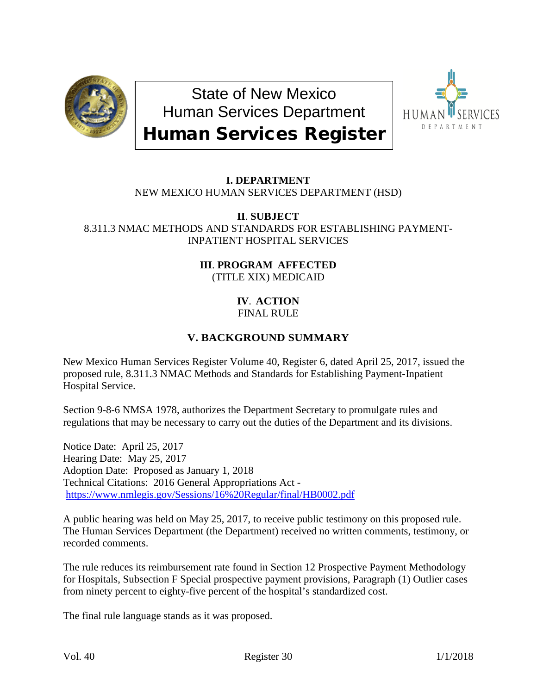

State of New Mexico Human Services Department Human Services Register



## **I. DEPARTMENT** NEW MEXICO HUMAN SERVICES DEPARTMENT (HSD)

**II**. **SUBJECT** 8.311.3 NMAC METHODS AND STANDARDS FOR ESTABLISHING PAYMENT-INPATIENT HOSPITAL SERVICES

> **III**. **PROGRAM AFFECTED** (TITLE XIX) MEDICAID

#### **IV**. **ACTION** FINAL RULE

# **V. BACKGROUND SUMMARY**

New Mexico Human Services Register Volume 40, Register 6, dated April 25, 2017, issued the proposed rule, 8.311.3 NMAC Methods and Standards for Establishing Payment-Inpatient Hospital Service.

Section 9-8-6 NMSA 1978, authorizes the Department Secretary to promulgate rules and regulations that may be necessary to carry out the duties of the Department and its divisions.

Notice Date: April 25, 2017 Hearing Date: May 25, 2017 Adoption Date: Proposed as January 1, 2018 Technical Citations: 2016 General Appropriations Act <https://www.nmlegis.gov/Sessions/16%20Regular/final/HB0002.pdf>

A public hearing was held on May 25, 2017, to receive public testimony on this proposed rule. The Human Services Department (the Department) received no written comments, testimony, or recorded comments.

The rule reduces its reimbursement rate found in Section 12 Prospective Payment Methodology for Hospitals, Subsection F Special prospective payment provisions, Paragraph (1) Outlier cases from ninety percent to eighty-five percent of the hospital's standardized cost.

The final rule language stands as it was proposed.